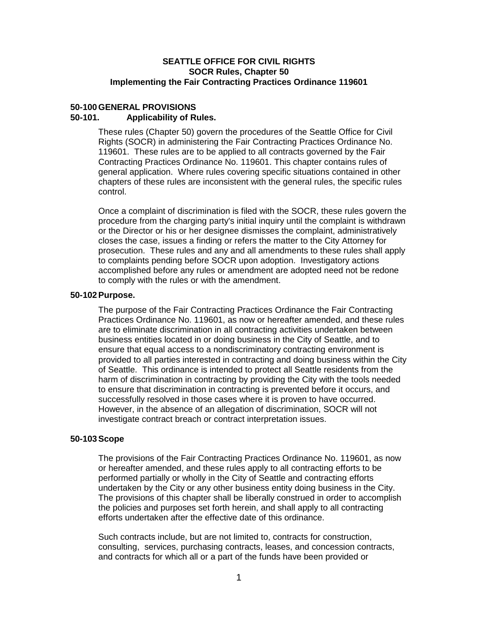# **SEATTLE OFFICE FOR CIVIL RIGHTS SOCR Rules, Chapter 50 Implementing the Fair Contracting Practices Ordinance 119601**

# **50-100 GENERAL PROVISIONS**

# **50-101. Applicability of Rules.**

These rules (Chapter 50) govern the procedures of the Seattle Office for Civil Rights (SOCR) in administering the Fair Contracting Practices Ordinance No. 119601. These rules are to be applied to all contracts governed by the Fair Contracting Practices Ordinance No. 119601. This chapter contains rules of general application. Where rules covering specific situations contained in other chapters of these rules are inconsistent with the general rules, the specific rules control.

Once a complaint of discrimination is filed with the SOCR, these rules govern the procedure from the charging party's initial inquiry until the complaint is withdrawn or the Director or his or her designee dismisses the complaint, administratively closes the case, issues a finding or refers the matter to the City Attorney for prosecution. These rules and any and all amendments to these rules shall apply to complaints pending before SOCR upon adoption. Investigatory actions accomplished before any rules or amendment are adopted need not be redone to comply with the rules or with the amendment.

## **50-102 Purpose.**

The purpose of the Fair Contracting Practices Ordinance the Fair Contracting Practices Ordinance No. 119601, as now or hereafter amended, and these rules are to eliminate discrimination in all contracting activities undertaken between business entities located in or doing business in the City of Seattle, and to ensure that equal access to a nondiscriminatory contracting environment is provided to all parties interested in contracting and doing business within the City of Seattle. This ordinance is intended to protect all Seattle residents from the harm of discrimination in contracting by providing the City with the tools needed to ensure that discrimination in contracting is prevented before it occurs, and successfully resolved in those cases where it is proven to have occurred. However, in the absence of an allegation of discrimination, SOCR will not investigate contract breach or contract interpretation issues.

# **50-103 Scope**

The provisions of the Fair Contracting Practices Ordinance No. 119601, as now or hereafter amended, and these rules apply to all contracting efforts to be performed partially or wholly in the City of Seattle and contracting efforts undertaken by the City or any other business entity doing business in the City. The provisions of this chapter shall be liberally construed in order to accomplish the policies and purposes set forth herein, and shall apply to all contracting efforts undertaken after the effective date of this ordinance.

Such contracts include, but are not limited to, contracts for construction, consulting, services, purchasing contracts, leases, and concession contracts, and contracts for which all or a part of the funds have been provided or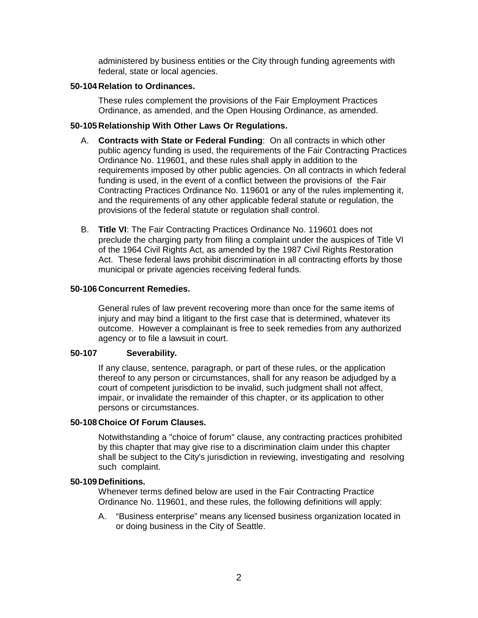administered by business entities or the City through funding agreements with federal, state or local agencies.

### **50-104 Relation to Ordinances.**

These rules complement the provisions of the Fair Employment Practices Ordinance, as amended, and the Open Housing Ordinance, as amended.

## **50-105 Relationship With Other Laws Or Regulations.**

- A. **Contracts with State or Federal Funding**: On all contracts in which other public agency funding is used, the requirements of the Fair Contracting Practices Ordinance No. 119601, and these rules shall apply in addition to the requirements imposed by other public agencies. On all contracts in which federal funding is used, in the event of a conflict between the provisions of the Fair Contracting Practices Ordinance No. 119601 or any of the rules implementing it, and the requirements of any other applicable federal statute or regulation, the provisions of the federal statute or regulation shall control.
- B. **Title VI**: The Fair Contracting Practices Ordinance No. 119601 does not preclude the charging party from filing a complaint under the auspices of Title VI of the 1964 Civil Rights Act, as amended by the 1987 Civil Rights Restoration Act. These federal laws prohibit discrimination in all contracting efforts by those municipal or private agencies receiving federal funds.

## **50-106 Concurrent Remedies.**

General rules of law prevent recovering more than once for the same items of injury and may bind a litigant to the first case that is determined, whatever its outcome. However a complainant is free to seek remedies from any authorized agency or to file a lawsuit in court.

# **50-107 Severability.**

If any clause, sentence, paragraph, or part of these rules, or the application thereof to any person or circumstances, shall for any reason be adjudged by a court of competent jurisdiction to be invalid, such judgment shall not affect, impair, or invalidate the remainder of this chapter, or its application to other persons or circumstances.

### **50-108 Choice Of Forum Clauses.**

Notwithstanding a "choice of forum" clause, any contracting practices prohibited by this chapter that may give rise to a discrimination claim under this chapter shall be subject to the City's jurisdiction in reviewing, investigating and resolving such complaint.

### **50-109 Definitions.**

Whenever terms defined below are used in the Fair Contracting Practice Ordinance No. 119601, and these rules, the following definitions will apply:

A. "Business enterprise" means any licensed business organization located in or doing business in the City of Seattle.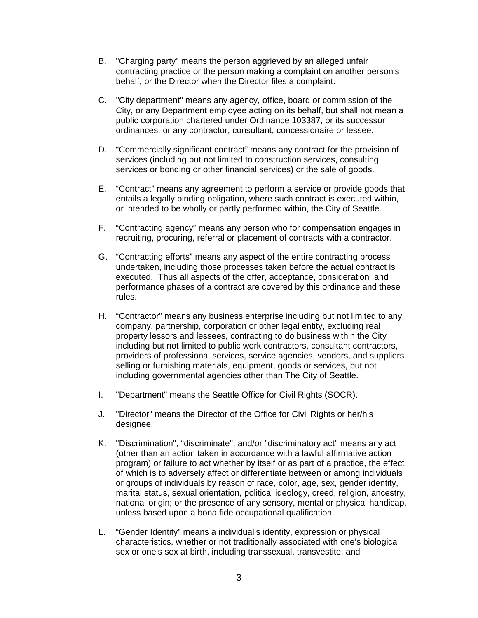- B. "Charging party" means the person aggrieved by an alleged unfair contracting practice or the person making a complaint on another person's behalf, or the Director when the Director files a complaint.
- C. "City department" means any agency, office, board or commission of the City, or any Department employee acting on its behalf, but shall not mean a public corporation chartered under Ordinance 103387, or its successor ordinances, or any contractor, consultant, concessionaire or lessee.
- D. "Commercially significant contract" means any contract for the provision of services (including but not limited to construction services, consulting services or bonding or other financial services) or the sale of goods.
- E. "Contract" means any agreement to perform a service or provide goods that entails a legally binding obligation, where such contract is executed within, or intended to be wholly or partly performed within, the City of Seattle.
- F. "Contracting agency" means any person who for compensation engages in recruiting, procuring, referral or placement of contracts with a contractor.
- G. "Contracting efforts" means any aspect of the entire contracting process undertaken, including those processes taken before the actual contract is executed. Thus all aspects of the offer, acceptance, consideration and performance phases of a contract are covered by this ordinance and these rules.
- H. "Contractor" means any business enterprise including but not limited to any company, partnership, corporation or other legal entity, excluding real property lessors and lessees, contracting to do business within the City including but not limited to public work contractors, consultant contractors, providers of professional services, service agencies, vendors, and suppliers selling or furnishing materials, equipment, goods or services, but not including governmental agencies other than The City of Seattle.
- I. "Department" means the Seattle Office for Civil Rights (SOCR).
- J. "Director" means the Director of the Office for Civil Rights or her/his designee.
- K. "Discrimination", "discriminate", and/or "discriminatory act" means any act (other than an action taken in accordance with a lawful affirmative action program) or failure to act whether by itself or as part of a practice, the effect of which is to adversely affect or differentiate between or among individuals or groups of individuals by reason of race, color, age, sex, gender identity, marital status, sexual orientation, political ideology, creed, religion, ancestry, national origin; or the presence of any sensory, mental or physical handicap, unless based upon a bona fide occupational qualification.
- L. "Gender Identity" means a individual's identity, expression or physical characteristics, whether or not traditionally associated with one's biological sex or one's sex at birth, including transsexual, transvestite, and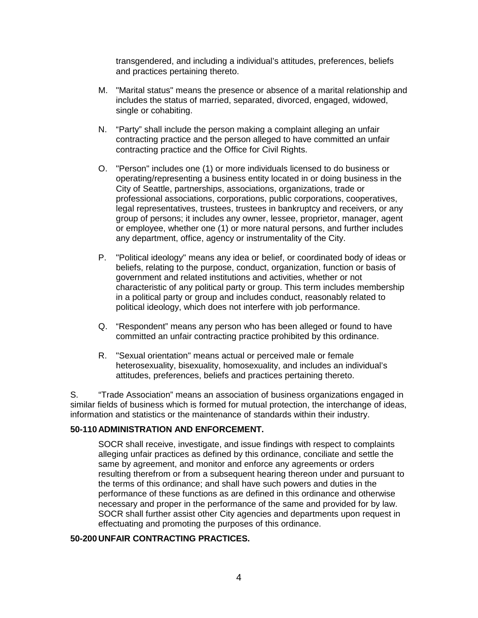transgendered, and including a individual's attitudes, preferences, beliefs and practices pertaining thereto.

- M. "Marital status" means the presence or absence of a marital relationship and includes the status of married, separated, divorced, engaged, widowed, single or cohabiting.
- N. "Party" shall include the person making a complaint alleging an unfair contracting practice and the person alleged to have committed an unfair contracting practice and the Office for Civil Rights.
- O. "Person" includes one (1) or more individuals licensed to do business or operating/representing a business entity located in or doing business in the City of Seattle, partnerships, associations, organizations, trade or professional associations, corporations, public corporations, cooperatives, legal representatives, trustees, trustees in bankruptcy and receivers, or any group of persons; it includes any owner, lessee, proprietor, manager, agent or employee, whether one (1) or more natural persons, and further includes any department, office, agency or instrumentality of the City.
- P. "Political ideology" means any idea or belief, or coordinated body of ideas or beliefs, relating to the purpose, conduct, organization, function or basis of government and related institutions and activities, whether or not characteristic of any political party or group. This term includes membership in a political party or group and includes conduct, reasonably related to political ideology, which does not interfere with job performance.
- Q. "Respondent" means any person who has been alleged or found to have committed an unfair contracting practice prohibited by this ordinance.
- R. "Sexual orientation" means actual or perceived male or female heterosexuality, bisexuality, homosexuality, and includes an individual's attitudes, preferences, beliefs and practices pertaining thereto.

S. "Trade Association" means an association of business organizations engaged in similar fields of business which is formed for mutual protection, the interchange of ideas, information and statistics or the maintenance of standards within their industry.

## **50-110 ADMINISTRATION AND ENFORCEMENT.**

SOCR shall receive, investigate, and issue findings with respect to complaints alleging unfair practices as defined by this ordinance, conciliate and settle the same by agreement, and monitor and enforce any agreements or orders resulting therefrom or from a subsequent hearing thereon under and pursuant to the terms of this ordinance; and shall have such powers and duties in the performance of these functions as are defined in this ordinance and otherwise necessary and proper in the performance of the same and provided for by law. SOCR shall further assist other City agencies and departments upon request in effectuating and promoting the purposes of this ordinance.

## **50-200 UNFAIR CONTRACTING PRACTICES.**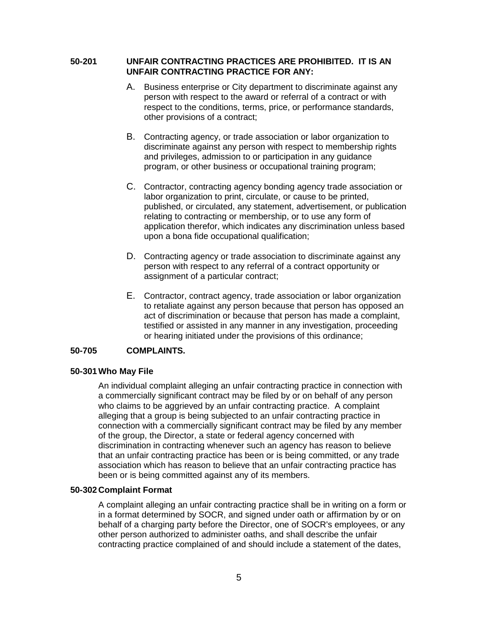# **50-201 UNFAIR CONTRACTING PRACTICES ARE PROHIBITED. IT IS AN UNFAIR CONTRACTING PRACTICE FOR ANY:**

- A. Business enterprise or City department to discriminate against any person with respect to the award or referral of a contract or with respect to the conditions, terms, price, or performance standards, other provisions of a contract;
- B. Contracting agency, or trade association or labor organization to discriminate against any person with respect to membership rights and privileges, admission to or participation in any guidance program, or other business or occupational training program;
- C. Contractor, contracting agency bonding agency trade association or labor organization to print, circulate, or cause to be printed, published, or circulated, any statement, advertisement, or publication relating to contracting or membership, or to use any form of application therefor, which indicates any discrimination unless based upon a bona fide occupational qualification;
- D. Contracting agency or trade association to discriminate against any person with respect to any referral of a contract opportunity or assignment of a particular contract;
- E. Contractor, contract agency, trade association or labor organization to retaliate against any person because that person has opposed an act of discrimination or because that person has made a complaint, testified or assisted in any manner in any investigation, proceeding or hearing initiated under the provisions of this ordinance;

# **50-705 COMPLAINTS.**

# **50-301 Who May File**

An individual complaint alleging an unfair contracting practice in connection with a commercially significant contract may be filed by or on behalf of any person who claims to be aggrieved by an unfair contracting practice. A complaint alleging that a group is being subjected to an unfair contracting practice in connection with a commercially significant contract may be filed by any member of the group, the Director, a state or federal agency concerned with discrimination in contracting whenever such an agency has reason to believe that an unfair contracting practice has been or is being committed, or any trade association which has reason to believe that an unfair contracting practice has been or is being committed against any of its members.

### **50-302 Complaint Format**

A complaint alleging an unfair contracting practice shall be in writing on a form or in a format determined by SOCR, and signed under oath or affirmation by or on behalf of a charging party before the Director, one of SOCR's employees, or any other person authorized to administer oaths, and shall describe the unfair contracting practice complained of and should include a statement of the dates,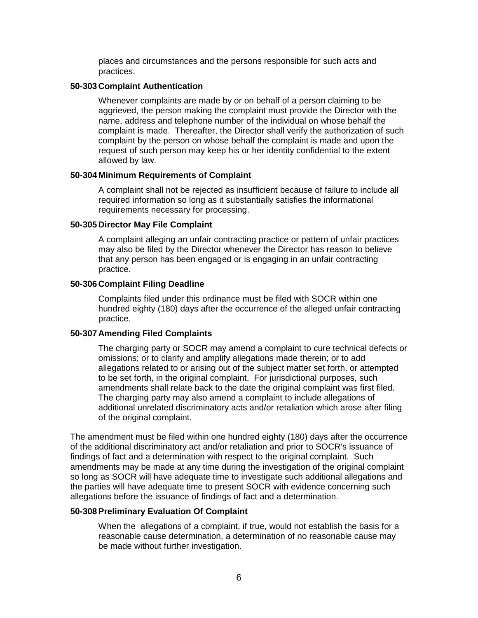places and circumstances and the persons responsible for such acts and practices.

### **50-303 Complaint Authentication**

Whenever complaints are made by or on behalf of a person claiming to be aggrieved, the person making the complaint must provide the Director with the name, address and telephone number of the individual on whose behalf the complaint is made. Thereafter, the Director shall verify the authorization of such complaint by the person on whose behalf the complaint is made and upon the request of such person may keep his or her identity confidential to the extent allowed by law.

#### **50-304 Minimum Requirements of Complaint**

A complaint shall not be rejected as insufficient because of failure to include all required information so long as it substantially satisfies the informational requirements necessary for processing.

### **50-305 Director May File Complaint**

A complaint alleging an unfair contracting practice or pattern of unfair practices may also be filed by the Director whenever the Director has reason to believe that any person has been engaged or is engaging in an unfair contracting practice.

### **50-306 Complaint Filing Deadline**

Complaints filed under this ordinance must be filed with SOCR within one hundred eighty (180) days after the occurrence of the alleged unfair contracting practice.

### **50-307 Amending Filed Complaints**

The charging party or SOCR may amend a complaint to cure technical defects or omissions; or to clarify and amplify allegations made therein; or to add allegations related to or arising out of the subject matter set forth, or attempted to be set forth, in the original complaint. For jurisdictional purposes, such amendments shall relate back to the date the original complaint was first filed. The charging party may also amend a complaint to include allegations of additional unrelated discriminatory acts and/or retaliation which arose after filing of the original complaint.

The amendment must be filed within one hundred eighty (180) days after the occurrence of the additional discriminatory act and/or retaliation and prior to SOCR's issuance of findings of fact and a determination with respect to the original complaint. Such amendments may be made at any time during the investigation of the original complaint so long as SOCR will have adequate time to investigate such additional allegations and the parties will have adequate time to present SOCR with evidence concerning such allegations before the issuance of findings of fact and a determination.

### **50-308 Preliminary Evaluation Of Complaint**

When the allegations of a complaint, if true, would not establish the basis for a reasonable cause determination, a determination of no reasonable cause may be made without further investigation.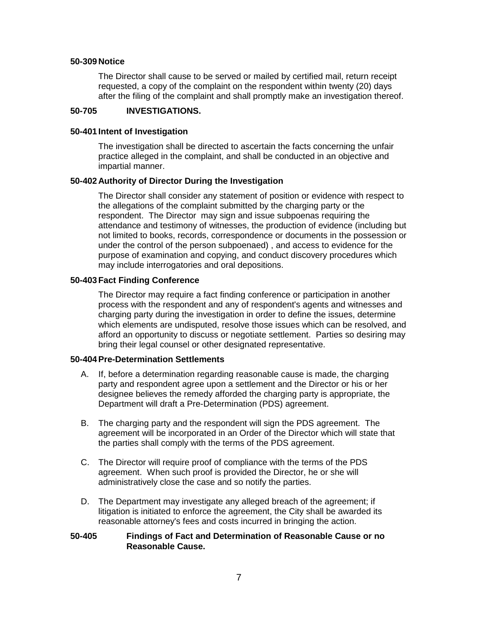#### **50-309 Notice**

The Director shall cause to be served or mailed by certified mail, return receipt requested, a copy of the complaint on the respondent within twenty (20) days after the filing of the complaint and shall promptly make an investigation thereof.

### **50-705 INVESTIGATIONS.**

#### **50-401 Intent of Investigation**

The investigation shall be directed to ascertain the facts concerning the unfair practice alleged in the complaint, and shall be conducted in an objective and impartial manner.

#### **50-402 Authority of Director During the Investigation**

The Director shall consider any statement of position or evidence with respect to the allegations of the complaint submitted by the charging party or the respondent. The Director may sign and issue subpoenas requiring the attendance and testimony of witnesses, the production of evidence (including but not limited to books, records, correspondence or documents in the possession or under the control of the person subpoenaed) , and access to evidence for the purpose of examination and copying, and conduct discovery procedures which may include interrogatories and oral depositions.

#### **50-403 Fact Finding Conference**

The Director may require a fact finding conference or participation in another process with the respondent and any of respondent's agents and witnesses and charging party during the investigation in order to define the issues, determine which elements are undisputed, resolve those issues which can be resolved, and afford an opportunity to discuss or negotiate settlement. Parties so desiring may bring their legal counsel or other designated representative.

#### **50-404 Pre-Determination Settlements**

- A. If, before a determination regarding reasonable cause is made, the charging party and respondent agree upon a settlement and the Director or his or her designee believes the remedy afforded the charging party is appropriate, the Department will draft a Pre-Determination (PDS) agreement.
- B. The charging party and the respondent will sign the PDS agreement. The agreement will be incorporated in an Order of the Director which will state that the parties shall comply with the terms of the PDS agreement.
- C. The Director will require proof of compliance with the terms of the PDS agreement. When such proof is provided the Director, he or she will administratively close the case and so notify the parties.
- D. The Department may investigate any alleged breach of the agreement; if litigation is initiated to enforce the agreement, the City shall be awarded its reasonable attorney's fees and costs incurred in bringing the action.

# **50-405 Findings of Fact and Determination of Reasonable Cause or no Reasonable Cause.**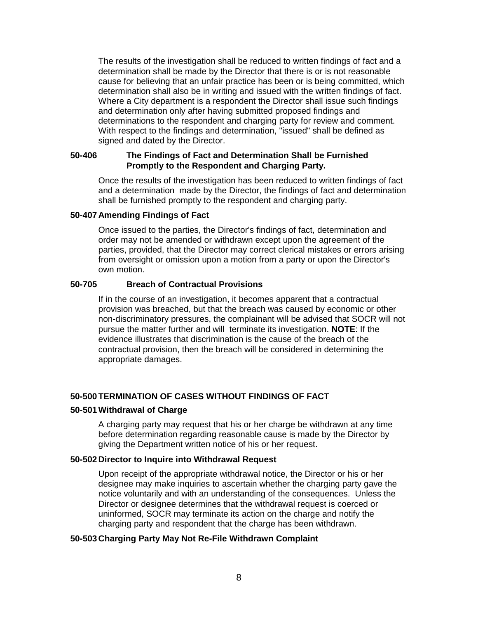The results of the investigation shall be reduced to written findings of fact and a determination shall be made by the Director that there is or is not reasonable cause for believing that an unfair practice has been or is being committed, which determination shall also be in writing and issued with the written findings of fact. Where a City department is a respondent the Director shall issue such findings and determination only after having submitted proposed findings and determinations to the respondent and charging party for review and comment. With respect to the findings and determination, "issued" shall be defined as signed and dated by the Director.

### **50-406 The Findings of Fact and Determination Shall be Furnished Promptly to the Respondent and Charging Party.**

Once the results of the investigation has been reduced to written findings of fact and a determination made by the Director, the findings of fact and determination shall be furnished promptly to the respondent and charging party.

## **50-407 Amending Findings of Fact**

Once issued to the parties, the Director's findings of fact, determination and order may not be amended or withdrawn except upon the agreement of the parties, provided, that the Director may correct clerical mistakes or errors arising from oversight or omission upon a motion from a party or upon the Director's own motion.

## **50-705 Breach of Contractual Provisions**

If in the course of an investigation, it becomes apparent that a contractual provision was breached, but that the breach was caused by economic or other non-discriminatory pressures, the complainant will be advised that SOCR will not pursue the matter further and will terminate its investigation. **NOTE**: If the evidence illustrates that discrimination is the cause of the breach of the contractual provision, then the breach will be considered in determining the appropriate damages.

# **50-500 TERMINATION OF CASES WITHOUT FINDINGS OF FACT**

### **50-501 Withdrawal of Charge**

A charging party may request that his or her charge be withdrawn at any time before determination regarding reasonable cause is made by the Director by giving the Department written notice of his or her request.

### **50-502 Director to Inquire into Withdrawal Request**

Upon receipt of the appropriate withdrawal notice, the Director or his or her designee may make inquiries to ascertain whether the charging party gave the notice voluntarily and with an understanding of the consequences. Unless the Director or designee determines that the withdrawal request is coerced or uninformed, SOCR may terminate its action on the charge and notify the charging party and respondent that the charge has been withdrawn.

### **50-503 Charging Party May Not Re-File Withdrawn Complaint**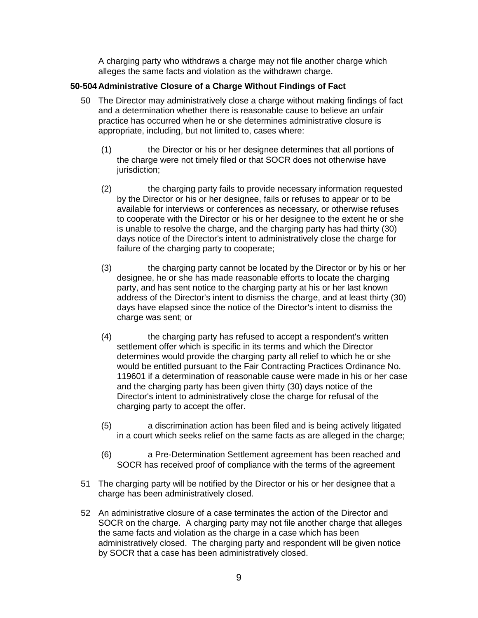A charging party who withdraws a charge may not file another charge which alleges the same facts and violation as the withdrawn charge.

# **50-504 Administrative Closure of a Charge Without Findings of Fact**

- 50 The Director may administratively close a charge without making findings of fact and a determination whether there is reasonable cause to believe an unfair practice has occurred when he or she determines administrative closure is appropriate, including, but not limited to, cases where:
	- (1) the Director or his or her designee determines that all portions of the charge were not timely filed or that SOCR does not otherwise have jurisdiction:
	- (2) the charging party fails to provide necessary information requested by the Director or his or her designee, fails or refuses to appear or to be available for interviews or conferences as necessary, or otherwise refuses to cooperate with the Director or his or her designee to the extent he or she is unable to resolve the charge, and the charging party has had thirty (30) days notice of the Director's intent to administratively close the charge for failure of the charging party to cooperate;
	- (3) the charging party cannot be located by the Director or by his or her designee, he or she has made reasonable efforts to locate the charging party, and has sent notice to the charging party at his or her last known address of the Director's intent to dismiss the charge, and at least thirty (30) days have elapsed since the notice of the Director's intent to dismiss the charge was sent; or
	- (4) the charging party has refused to accept a respondent's written settlement offer which is specific in its terms and which the Director determines would provide the charging party all relief to which he or she would be entitled pursuant to the Fair Contracting Practices Ordinance No. 119601 if a determination of reasonable cause were made in his or her case and the charging party has been given thirty (30) days notice of the Director's intent to administratively close the charge for refusal of the charging party to accept the offer.
	- (5) a discrimination action has been filed and is being actively litigated in a court which seeks relief on the same facts as are alleged in the charge;
	- (6) a Pre-Determination Settlement agreement has been reached and SOCR has received proof of compliance with the terms of the agreement
- 51 The charging party will be notified by the Director or his or her designee that a charge has been administratively closed.
- 52 An administrative closure of a case terminates the action of the Director and SOCR on the charge. A charging party may not file another charge that alleges the same facts and violation as the charge in a case which has been administratively closed. The charging party and respondent will be given notice by SOCR that a case has been administratively closed.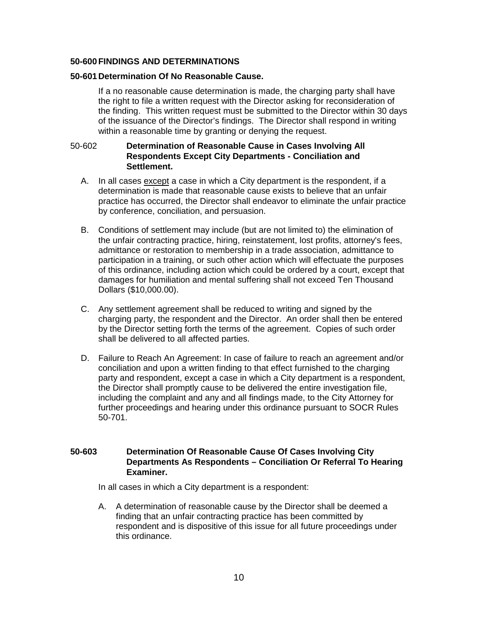## **50-600 FINDINGS AND DETERMINATIONS**

### **50-601 Determination Of No Reasonable Cause.**

If a no reasonable cause determination is made, the charging party shall have the right to file a written request with the Director asking for reconsideration of the finding. This written request must be submitted to the Director within 30 days of the issuance of the Director's findings. The Director shall respond in writing within a reasonable time by granting or denying the request.

## 50-602 **Determination of Reasonable Cause in Cases Involving All Respondents Except City Departments - Conciliation and Settlement.**

- A. In all cases except a case in which a City department is the respondent, if a determination is made that reasonable cause exists to believe that an unfair practice has occurred, the Director shall endeavor to eliminate the unfair practice by conference, conciliation, and persuasion.
- B. Conditions of settlement may include (but are not limited to) the elimination of the unfair contracting practice, hiring, reinstatement, lost profits, attorney's fees, admittance or restoration to membership in a trade association, admittance to participation in a training, or such other action which will effectuate the purposes of this ordinance, including action which could be ordered by a court, except that damages for humiliation and mental suffering shall not exceed Ten Thousand Dollars (\$10,000.00).
- C. Any settlement agreement shall be reduced to writing and signed by the charging party, the respondent and the Director. An order shall then be entered by the Director setting forth the terms of the agreement. Copies of such order shall be delivered to all affected parties.
- D. Failure to Reach An Agreement: In case of failure to reach an agreement and/or conciliation and upon a written finding to that effect furnished to the charging party and respondent, except a case in which a City department is a respondent, the Director shall promptly cause to be delivered the entire investigation file, including the complaint and any and all findings made, to the City Attorney for further proceedings and hearing under this ordinance pursuant to SOCR Rules 50-701.

# **50-603 Determination Of Reasonable Cause Of Cases Involving City Departments As Respondents – Conciliation Or Referral To Hearing Examiner.**

In all cases in which a City department is a respondent:

A. A determination of reasonable cause by the Director shall be deemed a finding that an unfair contracting practice has been committed by respondent and is dispositive of this issue for all future proceedings under this ordinance.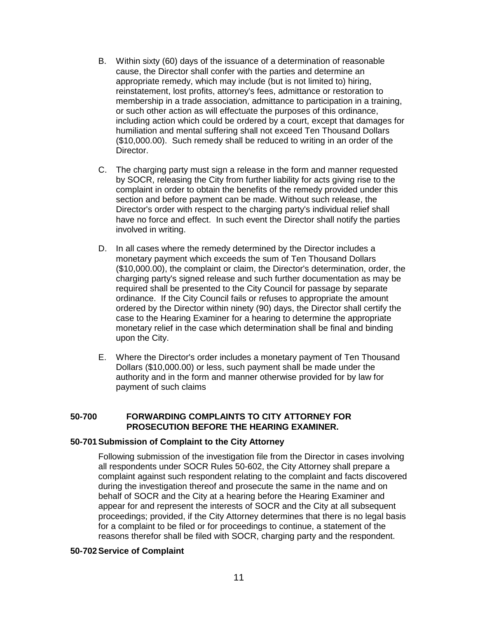- B. Within sixty (60) days of the issuance of a determination of reasonable cause, the Director shall confer with the parties and determine an appropriate remedy, which may include (but is not limited to) hiring, reinstatement, lost profits, attorney's fees, admittance or restoration to membership in a trade association, admittance to participation in a training, or such other action as will effectuate the purposes of this ordinance, including action which could be ordered by a court, except that damages for humiliation and mental suffering shall not exceed Ten Thousand Dollars (\$10,000.00). Such remedy shall be reduced to writing in an order of the Director.
- C. The charging party must sign a release in the form and manner requested by SOCR, releasing the City from further liability for acts giving rise to the complaint in order to obtain the benefits of the remedy provided under this section and before payment can be made. Without such release, the Director's order with respect to the charging party's individual relief shall have no force and effect. In such event the Director shall notify the parties involved in writing.
- D. In all cases where the remedy determined by the Director includes a monetary payment which exceeds the sum of Ten Thousand Dollars (\$10,000.00), the complaint or claim, the Director's determination, order, the charging party's signed release and such further documentation as may be required shall be presented to the City Council for passage by separate ordinance. If the City Council fails or refuses to appropriate the amount ordered by the Director within ninety (90) days, the Director shall certify the case to the Hearing Examiner for a hearing to determine the appropriate monetary relief in the case which determination shall be final and binding upon the City.
- E. Where the Director's order includes a monetary payment of Ten Thousand Dollars (\$10,000.00) or less, such payment shall be made under the authority and in the form and manner otherwise provided for by law for payment of such claims

## **50-700 FORWARDING COMPLAINTS TO CITY ATTORNEY FOR PROSECUTION BEFORE THE HEARING EXAMINER.**

### **50-701 Submission of Complaint to the City Attorney**

Following submission of the investigation file from the Director in cases involving all respondents under SOCR Rules 50-602, the City Attorney shall prepare a complaint against such respondent relating to the complaint and facts discovered during the investigation thereof and prosecute the same in the name and on behalf of SOCR and the City at a hearing before the Hearing Examiner and appear for and represent the interests of SOCR and the City at all subsequent proceedings; provided, if the City Attorney determines that there is no legal basis for a complaint to be filed or for proceedings to continue, a statement of the reasons therefor shall be filed with SOCR, charging party and the respondent.

#### **50-702 Service of Complaint**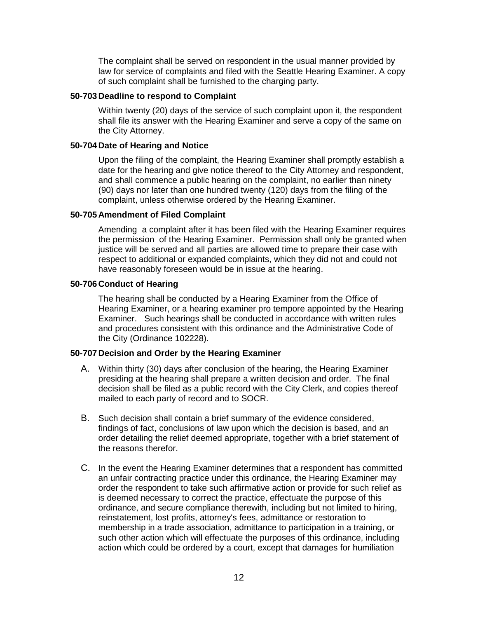The complaint shall be served on respondent in the usual manner provided by law for service of complaints and filed with the Seattle Hearing Examiner. A copy of such complaint shall be furnished to the charging party.

### **50-703 Deadline to respond to Complaint**

Within twenty (20) days of the service of such complaint upon it, the respondent shall file its answer with the Hearing Examiner and serve a copy of the same on the City Attorney.

## **50-704 Date of Hearing and Notice**

Upon the filing of the complaint, the Hearing Examiner shall promptly establish a date for the hearing and give notice thereof to the City Attorney and respondent, and shall commence a public hearing on the complaint, no earlier than ninety (90) days nor later than one hundred twenty (120) days from the filing of the complaint, unless otherwise ordered by the Hearing Examiner.

# **50-705 Amendment of Filed Complaint**

Amending a complaint after it has been filed with the Hearing Examiner requires the permission of the Hearing Examiner. Permission shall only be granted when justice will be served and all parties are allowed time to prepare their case with respect to additional or expanded complaints, which they did not and could not have reasonably foreseen would be in issue at the hearing.

## **50-706 Conduct of Hearing**

The hearing shall be conducted by a Hearing Examiner from the Office of Hearing Examiner, or a hearing examiner pro tempore appointed by the Hearing Examiner. Such hearings shall be conducted in accordance with written rules and procedures consistent with this ordinance and the Administrative Code of the City (Ordinance 102228).

# **50-707 Decision and Order by the Hearing Examiner**

- A. Within thirty (30) days after conclusion of the hearing, the Hearing Examiner presiding at the hearing shall prepare a written decision and order. The final decision shall be filed as a public record with the City Clerk, and copies thereof mailed to each party of record and to SOCR.
- B. Such decision shall contain a brief summary of the evidence considered, findings of fact, conclusions of law upon which the decision is based, and an order detailing the relief deemed appropriate, together with a brief statement of the reasons therefor.
- C. In the event the Hearing Examiner determines that a respondent has committed an unfair contracting practice under this ordinance, the Hearing Examiner may order the respondent to take such affirmative action or provide for such relief as is deemed necessary to correct the practice, effectuate the purpose of this ordinance, and secure compliance therewith, including but not limited to hiring, reinstatement, lost profits, attorney's fees, admittance or restoration to membership in a trade association, admittance to participation in a training, or such other action which will effectuate the purposes of this ordinance, including action which could be ordered by a court, except that damages for humiliation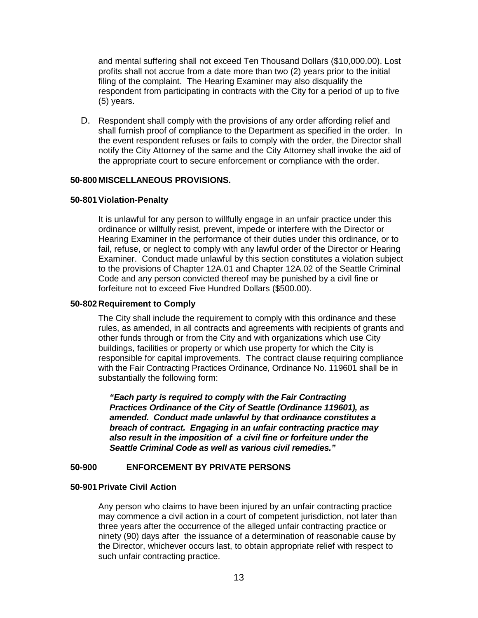and mental suffering shall not exceed Ten Thousand Dollars (\$10,000.00). Lost profits shall not accrue from a date more than two (2) years prior to the initial filing of the complaint. The Hearing Examiner may also disqualify the respondent from participating in contracts with the City for a period of up to five (5) years.

D. Respondent shall comply with the provisions of any order affording relief and shall furnish proof of compliance to the Department as specified in the order. In the event respondent refuses or fails to comply with the order, the Director shall notify the City Attorney of the same and the City Attorney shall invoke the aid of the appropriate court to secure enforcement or compliance with the order.

### **50-800 MISCELLANEOUS PROVISIONS.**

#### **50-801 Violation-Penalty**

It is unlawful for any person to willfully engage in an unfair practice under this ordinance or willfully resist, prevent, impede or interfere with the Director or Hearing Examiner in the performance of their duties under this ordinance, or to fail, refuse, or neglect to comply with any lawful order of the Director or Hearing Examiner. Conduct made unlawful by this section constitutes a violation subject to the provisions of Chapter 12A.01 and Chapter 12A.02 of the Seattle Criminal Code and any person convicted thereof may be punished by a civil fine or forfeiture not to exceed Five Hundred Dollars (\$500.00).

#### **50-802 Requirement to Comply**

The City shall include the requirement to comply with this ordinance and these rules, as amended, in all contracts and agreements with recipients of grants and other funds through or from the City and with organizations which use City buildings, facilities or property or which use property for which the City is responsible for capital improvements. The contract clause requiring compliance with the Fair Contracting Practices Ordinance, Ordinance No. 119601 shall be in substantially the following form:

*"Each party is required to comply with the Fair Contracting Practices Ordinance of the City of Seattle (Ordinance 119601), as amended. Conduct made unlawful by that ordinance constitutes a breach of contract. Engaging in an unfair contracting practice may also result in the imposition of a civil fine or forfeiture under the Seattle Criminal Code as well as various civil remedies."*

# **50-900 ENFORCEMENT BY PRIVATE PERSONS**

### **50-901 Private Civil Action**

Any person who claims to have been injured by an unfair contracting practice may commence a civil action in a court of competent jurisdiction, not later than three years after the occurrence of the alleged unfair contracting practice or ninety (90) days after the issuance of a determination of reasonable cause by the Director, whichever occurs last, to obtain appropriate relief with respect to such unfair contracting practice.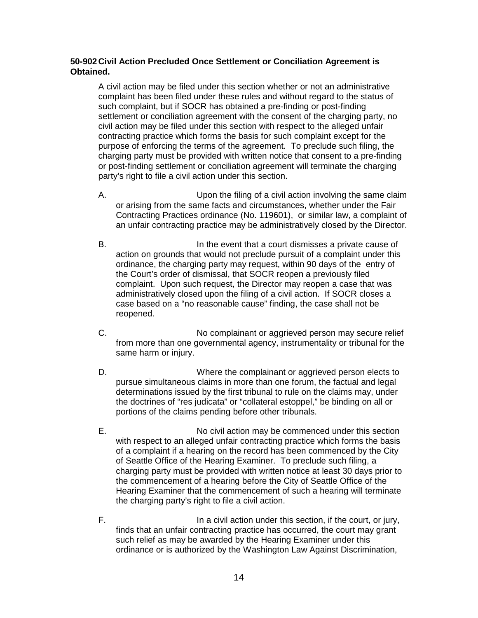# **50-902 Civil Action Precluded Once Settlement or Conciliation Agreement is Obtained.**

A civil action may be filed under this section whether or not an administrative complaint has been filed under these rules and without regard to the status of such complaint, but if SOCR has obtained a pre-finding or post-finding settlement or conciliation agreement with the consent of the charging party, no civil action may be filed under this section with respect to the alleged unfair contracting practice which forms the basis for such complaint except for the purpose of enforcing the terms of the agreement. To preclude such filing, the charging party must be provided with written notice that consent to a pre-finding or post-finding settlement or conciliation agreement will terminate the charging party's right to file a civil action under this section.

- A. Upon the filing of a civil action involving the same claim or arising from the same facts and circumstances, whether under the Fair Contracting Practices ordinance (No. 119601), or similar law, a complaint of an unfair contracting practice may be administratively closed by the Director.
- B. In the event that a court dismisses a private cause of action on grounds that would not preclude pursuit of a complaint under this ordinance, the charging party may request, within 90 days of the entry of the Court's order of dismissal, that SOCR reopen a previously filed complaint. Upon such request, the Director may reopen a case that was administratively closed upon the filing of a civil action. If SOCR closes a case based on a "no reasonable cause" finding, the case shall not be reopened.
- C. No complainant or aggrieved person may secure relief from more than one governmental agency, instrumentality or tribunal for the same harm or injury.
- D. **EXECUTE:** Where the complainant or aggrieved person elects to pursue simultaneous claims in more than one forum, the factual and legal determinations issued by the first tribunal to rule on the claims may, under the doctrines of "res judicata" or "collateral estoppel," be binding on all or portions of the claims pending before other tribunals.
- E. No civil action may be commenced under this section with respect to an alleged unfair contracting practice which forms the basis of a complaint if a hearing on the record has been commenced by the City of Seattle Office of the Hearing Examiner. To preclude such filing, a charging party must be provided with written notice at least 30 days prior to the commencement of a hearing before the City of Seattle Office of the Hearing Examiner that the commencement of such a hearing will terminate the charging party's right to file a civil action.
- F. In a civil action under this section, if the court, or jury, finds that an unfair contracting practice has occurred, the court may grant such relief as may be awarded by the Hearing Examiner under this ordinance or is authorized by the Washington Law Against Discrimination,